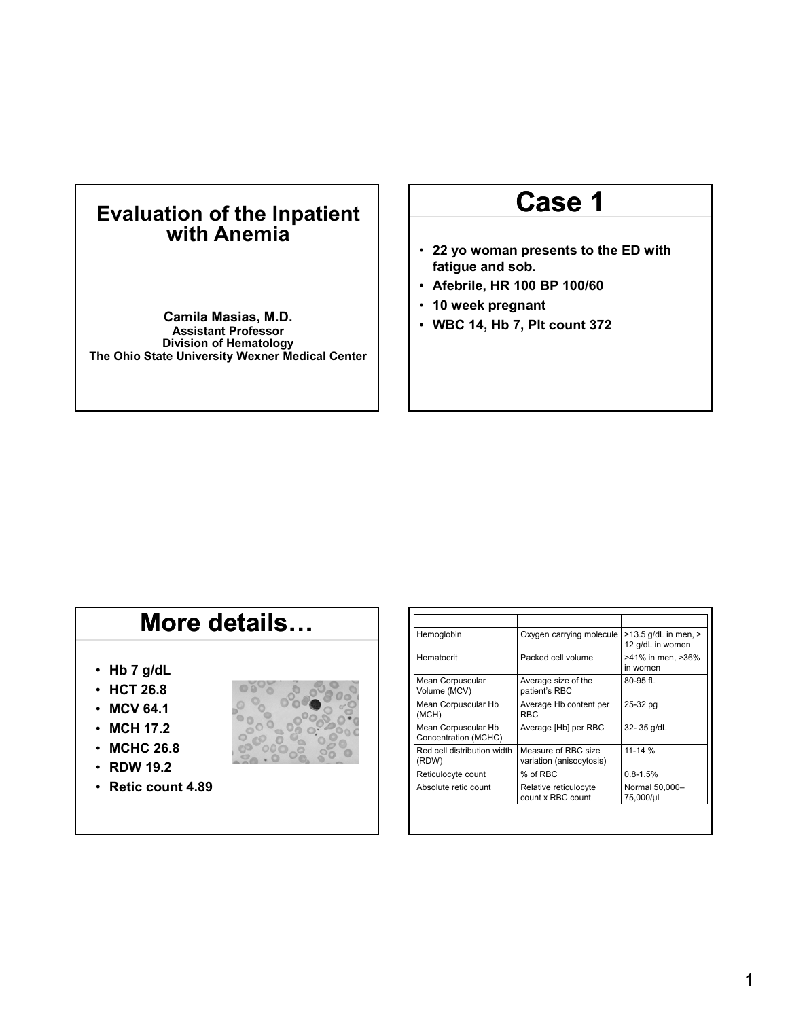### **Evaluation of the Inpatient with Anemia**

**Camila Masias, M.D. Assistant Professor Division of Hematology The Ohio State University Wexner Medical Center**

# **Case 1**

- **22 yo woman presents to the ED with fatigue and sob.**
- **Afebrile, HR 100 BP 100/60**
- **10 week pregnant**
- **WBC 14, Hb 7, Plt count 372**

# **More details…**

- **Hb 7 g/dL**
- **HCT 26.8**
- **MCV 64.1**
- **MCH 17.2**
- **MCHC 26.8**
- **RDW 19.2**
- **Retic count 4.89**



| Hemoglobin                                  | Oxygen carrying molecule                        | $>13.5$ g/dL in men, $>$<br>12 g/dL in women |
|---------------------------------------------|-------------------------------------------------|----------------------------------------------|
| Hematocrit                                  | Packed cell volume                              | >41% in men, >36%<br>in women                |
| Mean Corpuscular<br>Volume (MCV)            | Average size of the<br>patient's RBC            | 80-95 fL                                     |
| Mean Corpuscular Hb<br>(MCH)                | Average Hb content per<br><b>RBC</b>            | 25-32 pg                                     |
| Mean Corpuscular Hb<br>Concentration (MCHC) | Average [Hb] per RBC                            | 32-35 g/dL                                   |
| Red cell distribution width<br>(RDW)        | Measure of RBC size<br>variation (anisocytosis) | $11 - 14 %$                                  |
| Reticulocyte count                          | % of RBC                                        | $0.8 - 1.5%$                                 |
| Absolute retic count                        | Relative reticulocyte<br>count x RBC count      | Normal 50,000-<br>75,000/µl                  |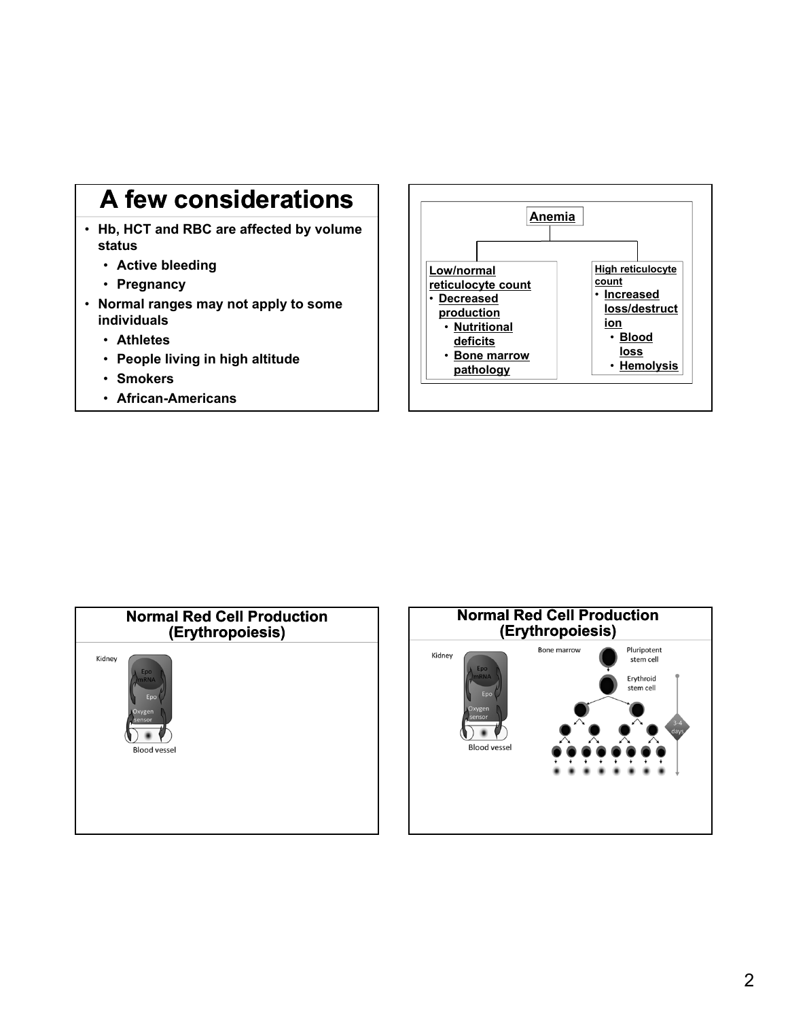# **A few considerations**

- **Hb, HCT and RBC are affected by volume status** 
	- **Active bleeding**
	- **Pregnancy**
- **Normal ranges may not apply to some individuals** 
	- **Athletes**
	- **People living in high altitude**
	- **Smokers**
	- **African-Americans**





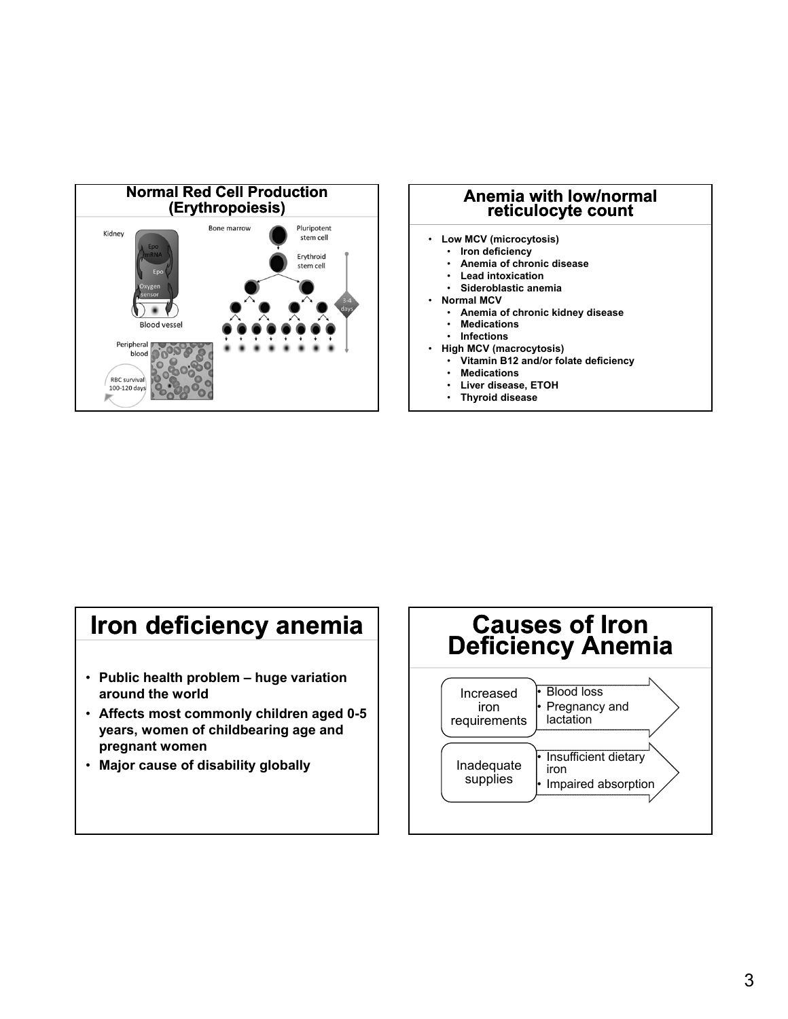

# **reticulocyte count**

- **Low MCV (microcytosis)**
	- **Iron deficiency**
	- **Anemia of chronic disease**
	- **Lead intoxication**
	- **Sideroblastic anemia**
- **Normal MCV**
	- **Anemia of chronic kidney disease**
	- **Medications**
	- **Infections**
- **High MCV (macrocytosis)**
	- **Vitamin B12 and/or folate deficiency**
	- **Medications**
	- **Liver disease, ETOH**
	- **Thyroid disease**

# **Iron deficiency anemia**

- **Public health problem huge variation around the world**
- **Affects most commonly children aged 0-5 years, women of childbearing age and pregnant women**
- **Major cause of disability globally**

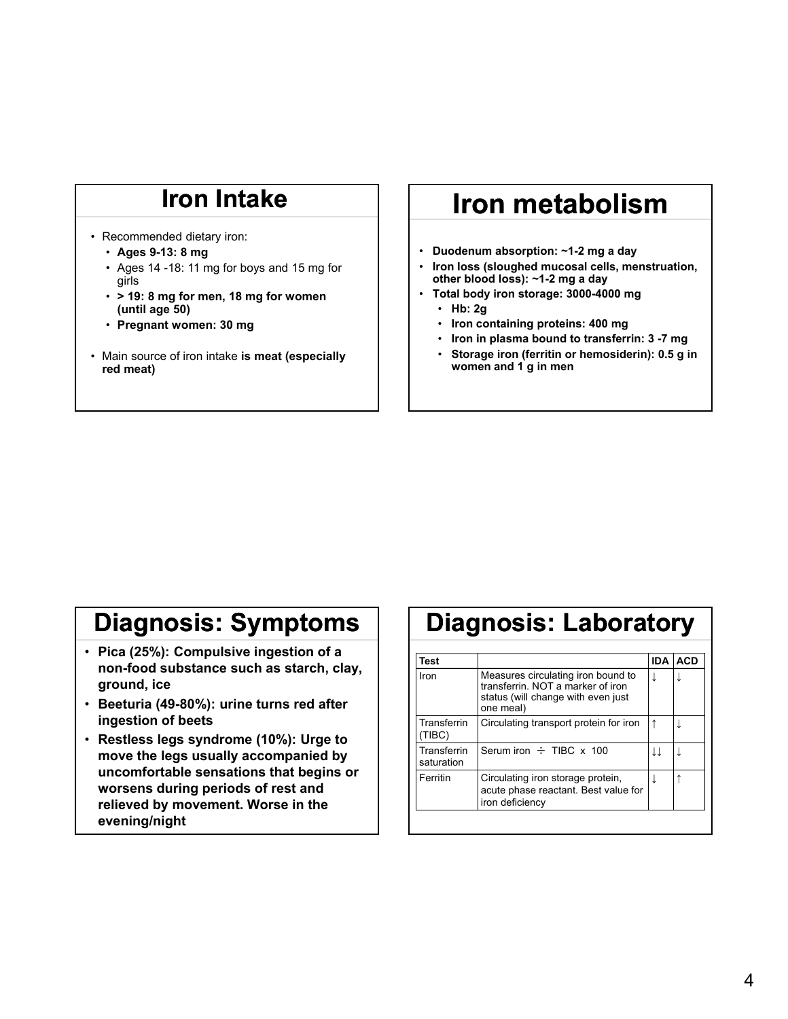# **Iron Intake**

- Recommended dietary iron:
	- **Ages 9-13: 8 mg**
	- Ages 14 -18: 11 mg for boys and 15 mg for girls
	- **> 19: 8 mg for men, 18 mg for women (until age 50)**
	- **Pregnant women: 30 mg**
- Main source of iron intake **is meat (especially red meat)**

# **Iron metabolism**

- **Duodenum absorption: ~1-2 mg a day**
- **Iron loss (sloughed mucosal cells, menstruation, other blood loss): ~1-2 mg a day**
- **Total body iron storage: 3000-4000 mg**
	- **Hb: 2g**
	- **Iron containing proteins: 400 mg**
	- **Iron in plasma bound to transferrin: 3 -7 mg**
	- **Storage iron (ferritin or hemosiderin): 0.5 g in women and 1 g in men**

# **Diagnosis: Symptoms**

- **Pica (25%): Compulsive ingestion of a non-food substance such as starch, clay, ground, ice**
- **Beeturia (49-80%): urine turns red after ingestion of beets**
- **Restless legs syndrome (10%): Urge to move the legs usually accompanied by uncomfortable sensations that begins or worsens during periods of rest and relieved by movement. Worse in the evening/night**

### **Diagnosis: Laboratory**

| Test                      |                                                                                                                           | <b>IDA</b> | <b>ACD</b> |
|---------------------------|---------------------------------------------------------------------------------------------------------------------------|------------|------------|
| Iron                      | Measures circulating iron bound to<br>transferrin NOT a marker of iron<br>status (will change with even just<br>one meal) |            |            |
| Transferrin<br>(TIBC)     | Circulating transport protein for iron                                                                                    |            |            |
| Transferrin<br>saturation | Serum iron $\div$ TIBC x 100                                                                                              | IJ         |            |
| Ferritin                  | Circulating iron storage protein,<br>acute phase reactant. Best value for<br>iron deficiency                              |            |            |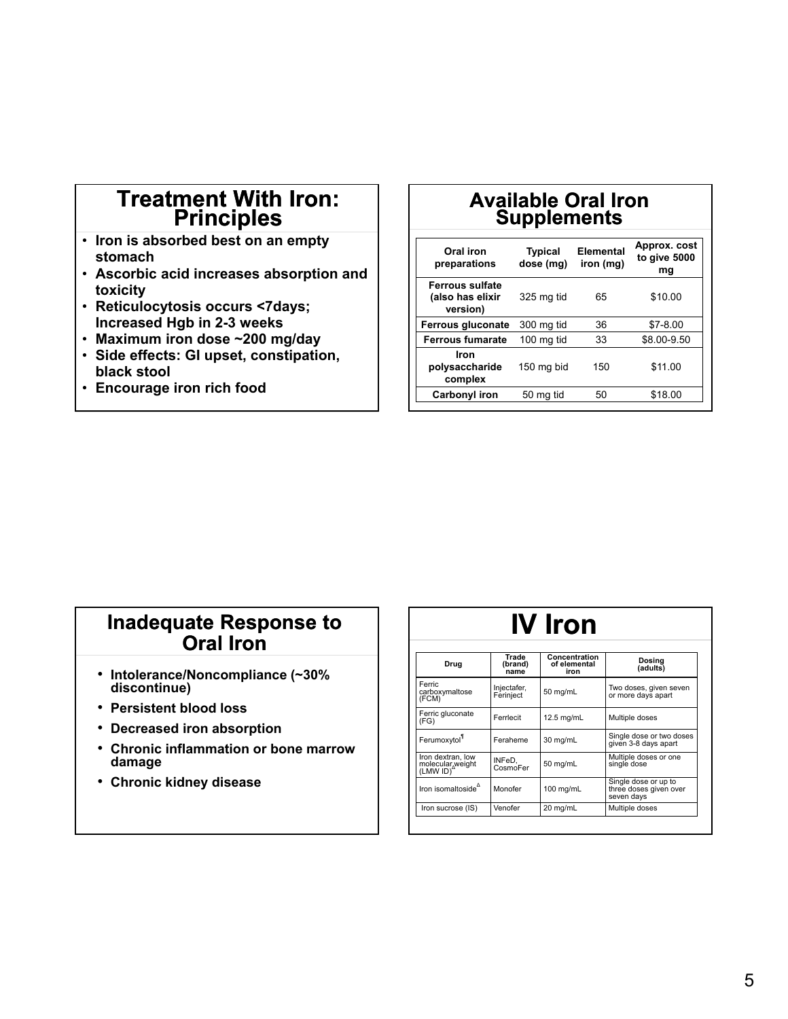### **Treatment With Iron: Principles**

- **Iron is absorbed best on an empty stomach**
- **Ascorbic acid increases absorption and toxicity**
- **Reticulocytosis occurs <7days; Increased Hgb in 2-3 weeks**
- **Maximum iron dose ~200 mg/day**
- **Side effects: GI upset, constipation, black stool**
- **Encourage iron rich food**

### **Available Oral Iron Supplements**

| Oral iron<br>preparations                              | <b>Typical</b><br>dose (mg) | <b>Elemental</b><br>iron (mg) | Approx. cost<br>to give 5000<br>mg |
|--------------------------------------------------------|-----------------------------|-------------------------------|------------------------------------|
| <b>Ferrous sulfate</b><br>(also has elixir<br>version) | 325 mg tid                  | 65                            | \$10.00                            |
| <b>Ferrous gluconate</b>                               | 300 mg tid                  | 36                            | $$7-8.00$                          |
| <b>Ferrous fumarate</b>                                | 100 mg tid                  | 33                            | \$8.00-9.50                        |
| Iron<br>polysaccharide<br>complex                      | 150 mg bid                  | 150                           | \$11.00                            |
| Carbonyl iron                                          | 50 mg tid                   | 50                            | \$18.00                            |

### **Inadequate Response to Oral Iron**

- **Intolerance/Noncompliance (~30% discontinue)**
- **Persistent blood loss**
- **Decreased iron absorption**
- **Chronic inflammation or bone marrow damage**
- **Chronic kidney disease**

| <b>IV</b> Iron                                                 |                          |                                       |                                                              |
|----------------------------------------------------------------|--------------------------|---------------------------------------|--------------------------------------------------------------|
| Drug                                                           | Trade<br>(brand)<br>name | Concentration<br>of elemental<br>iron | Dosina<br>(adults)                                           |
| Ferric<br>carboxymaltose<br>(FCM)                              | Injectafer,<br>Ferinject | 50 mg/mL                              | Two doses, given seven<br>or more days apart                 |
| Ferric gluconate<br>(FG)                                       | Ferrlecit                | 12.5 mg/mL                            | Multiple doses                                               |
| Ferumoxytol                                                    | Feraheme                 | 30 mg/mL                              | Single dose or two doses<br>given 3-8 days apart             |
| Iron dextran, low<br>molecular weight<br>(LMW ID) <sup>4</sup> | INFeD.<br>CosmoFer       | 50 mg/mL                              | Multiple doses or one<br>single dose                         |
| Iron isomaltoside <sup>4</sup>                                 | Monofer                  | $100$ mg/mL                           | Single dose or up to<br>three doses given over<br>seven days |
| Iron sucrose (IS)                                              | Venofer                  | 20 mg/mL                              | Multiple doses                                               |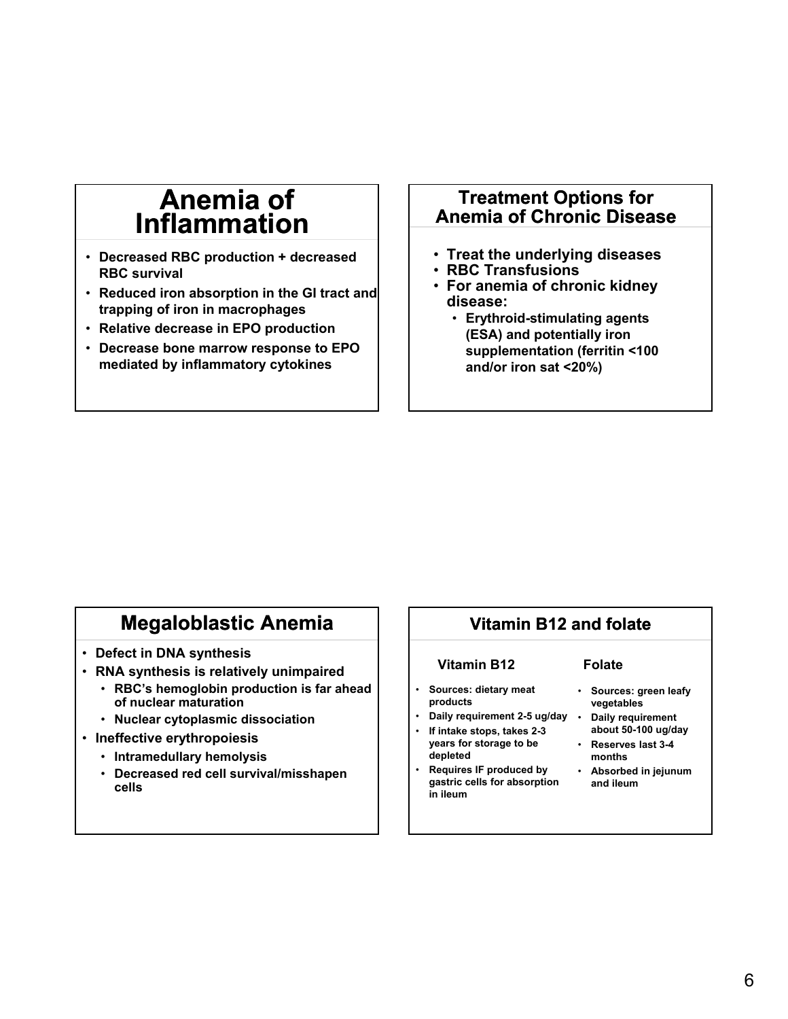### **Anemia of Inflammation**

- **Decreased RBC production + decreased RBC survival**
- **Reduced iron absorption in the GI tract and trapping of iron in macrophages**
- **Relative decrease in EPO production**
- **Decrease bone marrow response to EPO mediated by inflammatory cytokines**

#### **Treatment Options for Anemia of Chronic Disease**

- **Treat the underlying diseases**
- **RBC Transfusions**
- **For anemia of chronic kidney disease:** 
	- **Erythroid-stimulating agents (ESA) and potentially iron supplementation (ferritin <100 and/or iron sat <20%)**

### **Megaloblastic Anemia**

- **Defect in DNA synthesis**
- **RNA synthesis is relatively unimpaired**
	- **RBC's hemoglobin production is far ahead of nuclear maturation**
	- **Nuclear cytoplasmic dissociation**
- **Ineffective erythropoiesis**
	- **Intramedullary hemolysis**
	- **Decreased red cell survival/misshapen cells**

#### **Vitamin B12 and folate**

**Vitamin B12**

#### **Folate**

- **Sources: dietary meat products** • **Daily requirement 2-5 ug/day**
- **If intake stops, takes 2-3 years for storage to be depleted**
- **Requires IF produced by gastric cells for absorption in ileum**
- **Sources: green leafy vegetables**
- **Daily requirement about 50-100 ug/day** • **Reserves last 3-4**
- **months**
- **Absorbed in jejunum and ileum**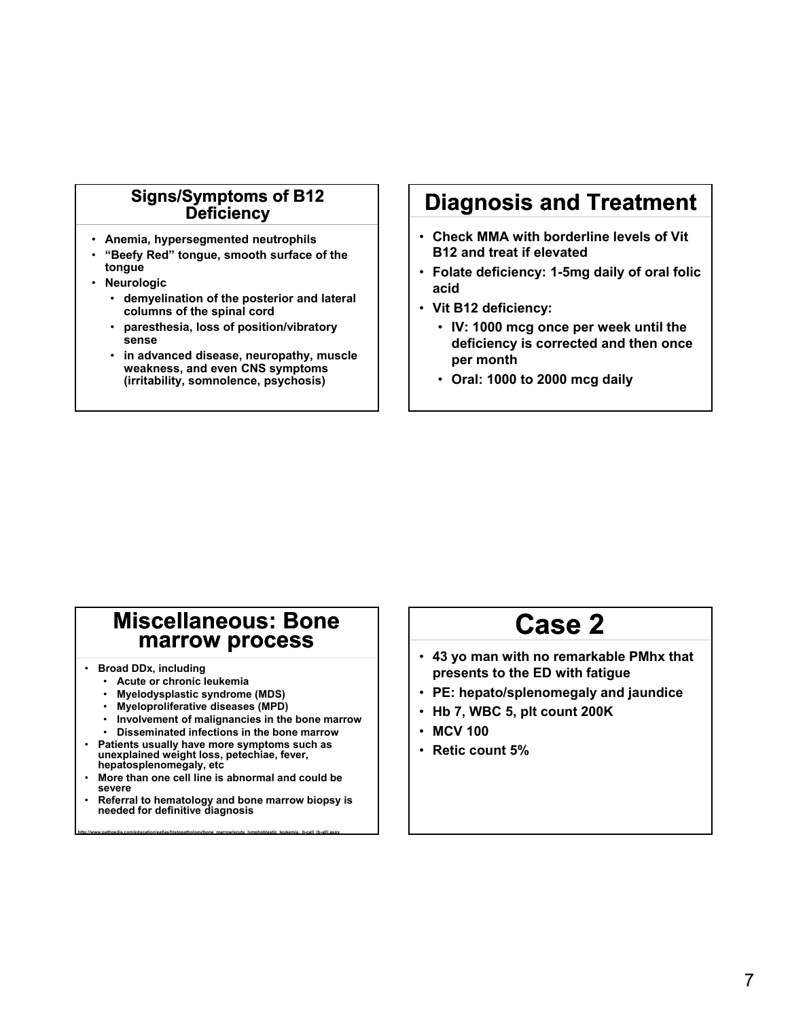#### **Signs/Symptoms of B12 Deficiency**

- **Anemia, hypersegmented neutrophils**
- **"Beefy Red" tongue, smooth surface of the tongue**
- **Neurologic**
	- **demyelination of the posterior and lateral columns of the spinal cord**
	- **paresthesia, loss of position/vibratory sense**
	- **in advanced disease, neuropathy, muscle weakness, and even CNS symptoms (irritability, somnolence, psychosis)**

### **Diagnosis and Treatment**

- **Check MMA with borderline levels of Vit B12 and treat if elevated**
- **Folate deficiency: 1-5mg daily of oral folic acid**
- **Vit B12 deficiency:** 
	- **IV: 1000 mcg once per week until the deficiency is corrected and then once per month**
	- **Oral: 1000 to 2000 mcg daily**

### **Miscellaneous: Bone marrow process**

- **Broad DDx, including**
	- **Acute or chronic leukemia**
	- **Myelodysplastic syndrome (MDS)**
	- **Myeloproliferative diseases (MPD)**
	- **Involvement of malignancies in the bone marrow**
	- **Disseminated infections in the bone marrow**
- **Patients usually have more symptoms such as unexplained weight loss, petechiae, fever, hepatosplenomegaly, etc**
- **More than one cell line is abnormal and could be severe**

**http://www.pathpedia.com/education/eatlas/histopathology/bone\_marrow/acute\_lymphoblastic\_leukemia,\_b-cell\_(b-all).aspx**

• **Referral to hematology and bone marrow biopsy is needed for definitive diagnosis**

# **Case 2**

- **43 yo man with no remarkable PMhx that presents to the ED with fatigue**
- **PE: hepato/splenomegaly and jaundice**
- **Hb 7, WBC 5, plt count 200K**
- **MCV 100**
- **Retic count 5%**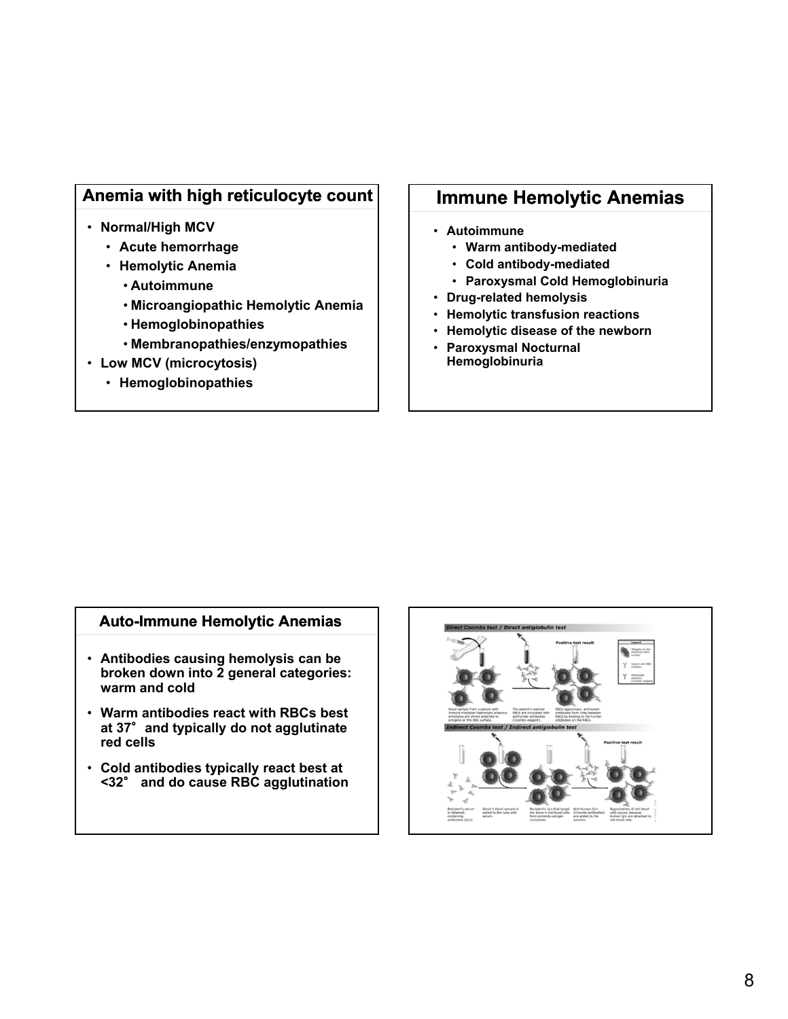#### **Anemia with high reticulocyte count**

- **Normal/High MCV**
	- **Acute hemorrhage**
	- **Hemolytic Anemia**
		- **Autoimmune**
		- **Microangiopathic Hemolytic Anemia**
		- **Hemoglobinopathies**
		- **Membranopathies/enzymopathies**
- **Low MCV (microcytosis)**
	- **Hemoglobinopathies**

#### **Immune Hemolytic Anemias**

- **Autoimmune**
	- **Warm antibody-mediated**
	- **Cold antibody-mediated**
	- **Paroxysmal Cold Hemoglobinuria**
- **Drug-related hemolysis**
- **Hemolytic transfusion reactions**
- **Hemolytic disease of the newborn**
- **Paroxysmal Nocturnal Hemoglobinuria**

#### **Auto-Immune Hemolytic Anemias**

- **Antibodies causing hemolysis can be broken down into 2 general categories: warm and cold**
- **Warm antibodies react with RBCs best at 37**°**and typically do not agglutinate red cells**
- **Cold antibodies typically react best at <32**° **and do cause RBC agglutination**

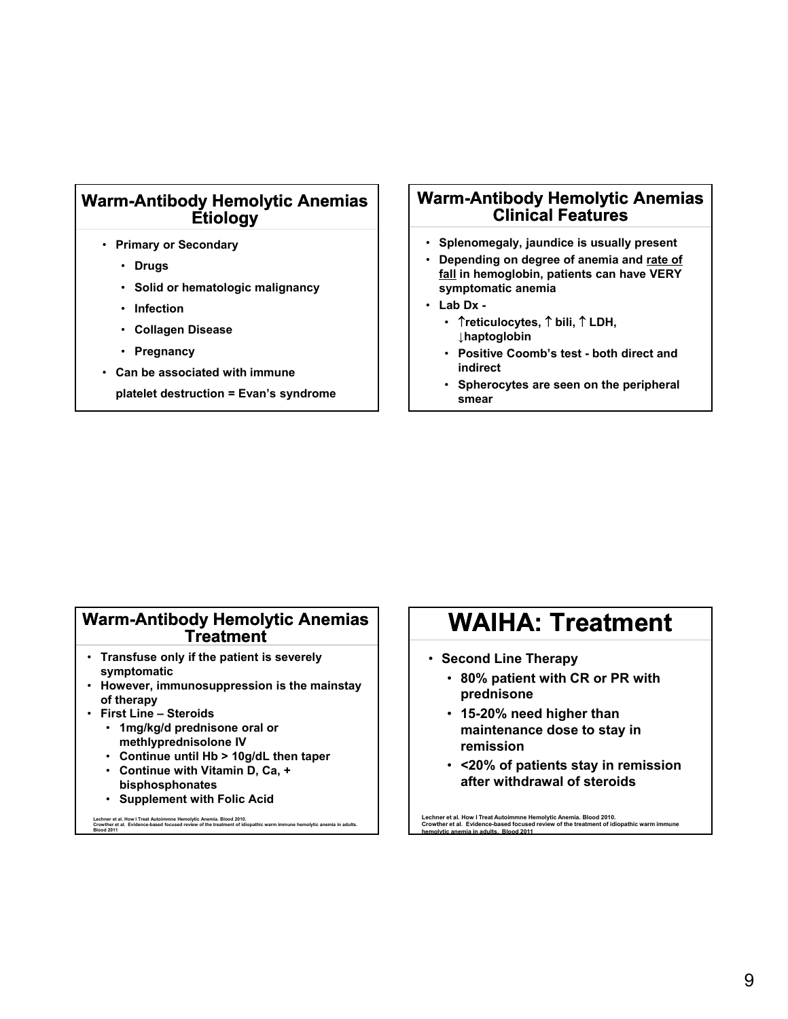#### **Warm-Antibody Hemolytic Anemias Etiology**

- **Primary or Secondary**
	- **Drugs**
	- **Solid or hematologic malignancy**
	- **Infection**
	- **Collagen Disease**
	- **Pregnancy**
- **Can be associated with immune**

**platelet destruction = Evan's syndrome**

#### **Warm-Antibody Hemolytic Anemias Clinical Features**

- **Splenomegaly, jaundice is usually present**
- **Depending on degree of anemia and rate of fall in hemoglobin, patients can have VERY symptomatic anemia**
- **Lab Dx -**
	- **Treticulocytes, 1 bili, 1 LDH, ↓haptoglobin**
	- **Positive Coomb's test both direct and indirect**
	- **Spherocytes are seen on the peripheral smear**

#### **Warm-Antibody Hemolytic Anemias Treatment**

- **Transfuse only if the patient is severely symptomatic**
- **However, immunosuppression is the mainstay of therapy**
- **First Line Steroids**
	- **1mg/kg/d prednisone oral or methlyprednisolone IV**
	- **Continue until Hb > 10g/dL then taper**
	- **Continue with Vitamin D, Ca, + bisphosphonates**
	- **Supplement with Folic Acid**

Lechner et al. How I Treat Autoimmne Hemolytic Anemia. Blood 2010.<br>Crowther et al. Evidence-based focused review of the treatment of idiopathic warm immune hemolytic anemia in adults.<br>Blood 2011

### **WAIHA: Treatment**

- **Second Line Therapy**
	- **80% patient with CR or PR with prednisone**
	- **15-20% need higher than maintenance dose to stay in remission**
	- **<20% of patients stay in remission after withdrawal of steroids**

**Lechner et al. How I Treat Autoimmne Hemolytic Anemia. Blood 2010. Crowther et al. Evidence-based focused review of the treatment of idiopathic warm immune hemolytic anemia in adults. Blood 2011**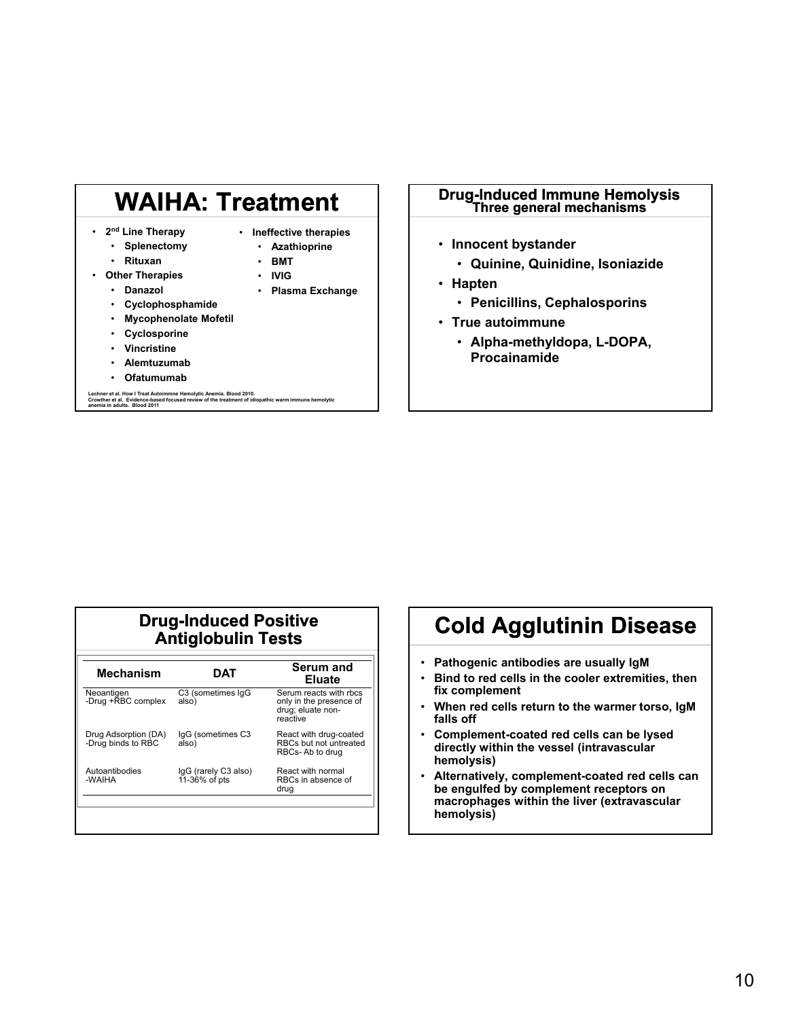# **WAIHA: Treatment**

- **2nd Line Therapy**
- **Ineffective therapies**
- **Splenectomy** • **Rituxan**
- **Azathioprine** • **BMT**
- **Other Therapies** • **Danazol**
- **IVIG** • **Plasma Exchange**
- **Cyclophosphamide**
- **Mycophenolate Mofetil**
- **Cyclosporine**
- **Vincristine**
- **Alemtuzumab**
- **Ofatumumab**

**Lechner et al. How I Treat Autoimmne Hemolytic Anemia. Blood 2010. Crowther et al. Evidence-based focused review of the treatment of idiopathic warm immune hemolytic anemia in adults. Blood 2011**

# **Drug-Induced Immune Hemolysis Three general mechanisms**

- **Innocent bystander**
	- **Quinine, Quinidine, Isoniazide**
- **Hapten**
	- **Penicillins, Cephalosporins**
- **True autoimmune**
	- **Alpha-methyldopa, L-DOPA, Procainamide**

#### **Drug-Induced Positive Antiglobulin Tests**

| <b>Mechanism</b>                           | DAT                                   | Serum and<br><b>Eluate</b>                                                         |
|--------------------------------------------|---------------------------------------|------------------------------------------------------------------------------------|
| Neoantigen<br>-Drug +RBC complex           | C3 (sometimes IqG<br>also)            | Serum reacts with rbcs<br>only in the presence of<br>drug; eluate non-<br>reactive |
| Drug Adsorption (DA)<br>-Drug binds to RBC | IqG (sometimes C3<br>also)            | React with drug-coated<br>RBCs but not untreated<br>RBCs-Ab to drug                |
| Autoantibodies<br>-WAIHA                   | IgG (rarely C3 also)<br>11-36% of pts | React with normal<br>RBCs in absence of<br>drug                                    |

### **Cold Agglutinin Disease**

- **Pathogenic antibodies are usually IgM**
- **Bind to red cells in the cooler extremities, then fix complement**
- **When red cells return to the warmer torso, IgM falls off**
- **Complement-coated red cells can be lysed directly within the vessel (intravascular hemolysis)**
- **Alternatively, complement-coated red cells can be engulfed by complement receptors on macrophages within the liver (extravascular hemolysis)**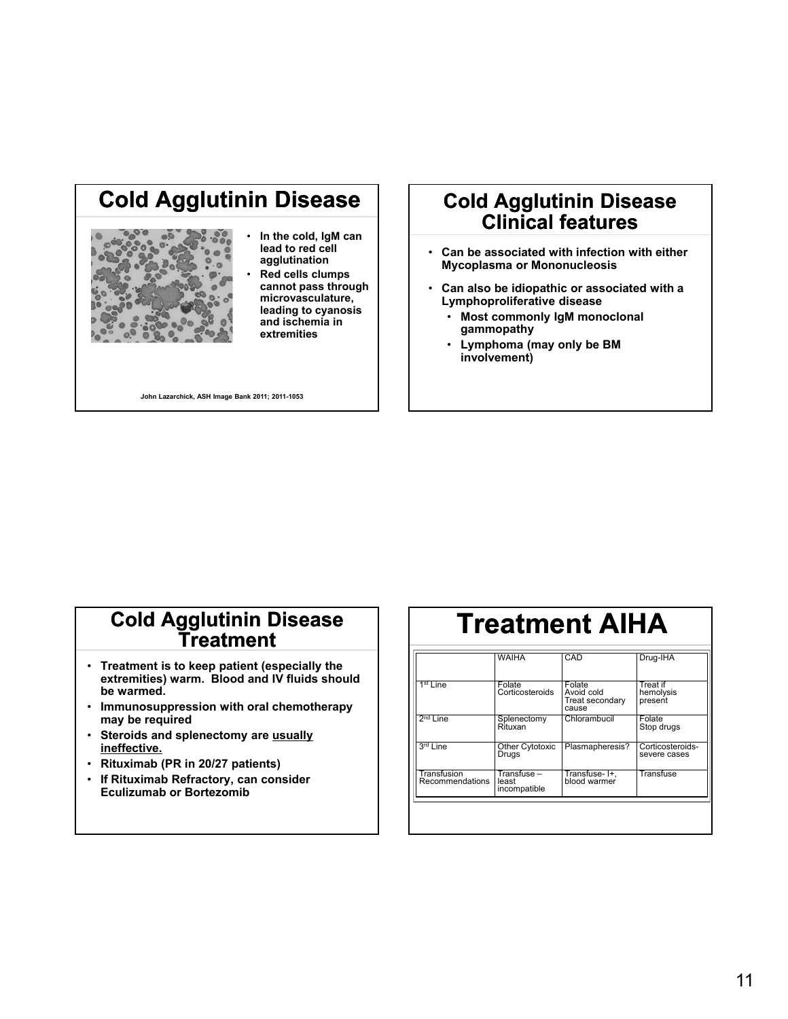### **Cold Agglutinin Disease**



- **In the cold, IgM can lead to red cell agglutination**
- **Red cells clumps cannot pass through microvasculature, leading to cyanosis and ischemia in extremities**

**John Lazarchick, ASH Image Bank 2011; 2011-1053**

### **Cold Agglutinin Disease Clinical features**

- **Can be associated with infection with either Mycoplasma or Mononucleosis**
- **Can also be idiopathic or associated with a Lymphoproliferative disease**
	- **Most commonly IgM monoclonal gammopathy**
	- **Lymphoma (may only be BM involvement)**

### **Cold Agglutinin Disease Treatment**

- **Treatment is to keep patient (especially the extremities) warm. Blood and IV fluids should be warmed.**
- **Immunosuppression with oral chemotherapy may be required**
- **Steroids and splenectomy are usually ineffective.**
- **Rituximab (PR in 20/27 patients)**
- **If Rituximab Refractory, can consider Eculizumab or Bortezomib**

# **Treatment AIHA**

|                                | <b>WAIHA</b>                         | CAD                                              | Drug-IHA                         |
|--------------------------------|--------------------------------------|--------------------------------------------------|----------------------------------|
| $1st$ Line                     | Folate<br>Corticosteroids            | Folate<br>Avoid cold<br>Treat secondary<br>cause | Treat if<br>hemolysis<br>present |
| $2nd$ Line                     | Splenectomy<br>Rituxan               | Chlorambucil                                     | Folate<br>Stop drugs             |
| 3rd Line                       | Other Cytotoxic<br>Drugs             | Plasmapheresis?                                  | Corticosteroids-<br>severe cases |
| Transfusion<br>Recommendations | Transfuse -<br>least<br>incompatible | Transfuse-I+,<br>blood warmer                    | Transfuse                        |
|                                |                                      |                                                  |                                  |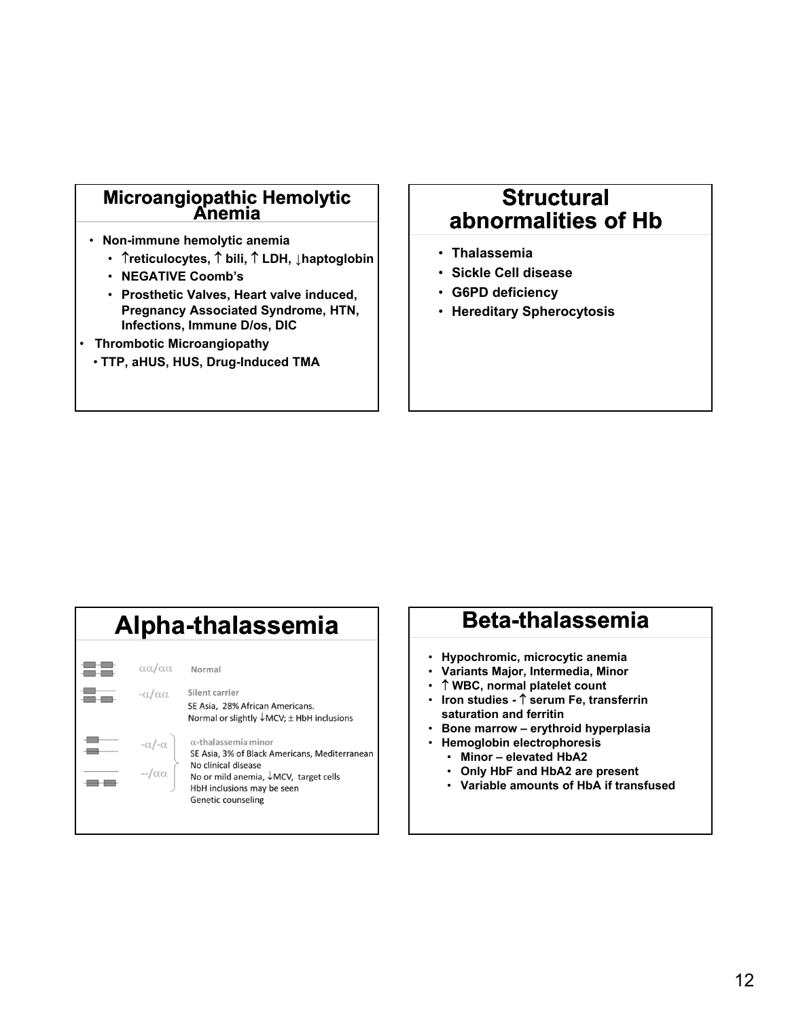# **Microangiopathic Hemolytic Anemia**

- **Non-immune hemolytic anemia**
	- **reticulocytes, bili, LDH, ↓haptoglobin**
	- **NEGATIVE Coomb's**
	- **Prosthetic Valves, Heart valve induced, Pregnancy Associated Syndrome, HTN, Infections, Immune D/os, DIC**
- **Thrombotic Microangiopathy**
	- **TTP, aHUS, HUS, Drug-Induced TMA**

### **Structural abnormalities of Hb**

- **Thalassemia**
- **Sickle Cell disease**
- **G6PD deficiency**
- **Hereditary Spherocytosis**

| Alpha-thalassemia                                     |                                                                                                                                                                                                           |  |
|-------------------------------------------------------|-----------------------------------------------------------------------------------------------------------------------------------------------------------------------------------------------------------|--|
| $\alpha\alpha/\alpha\alpha$<br>$-\alpha/\alpha\alpha$ | Normal<br>Silent carrier<br>SE Asia, 28% African Americans.<br>Normal or slightly $\downarrow$ MCV; $\pm$ HbH inclusions                                                                                  |  |
| $-\alpha/-\alpha$<br>$-/-\alpha$                      | $\alpha$ -thalassemia minor<br>SE Asia, 3% of Black Americans, Mediterranear<br>No clinical disease<br>No or mild anemia, $\sqrt{MCV}$ , target cells<br>HbH inclusions may be seen<br>Genetic counseling |  |

### **Alpha-thalassemia Beta-thalassemia**

- **Hypochromic, microcytic anemia**
- **Variants Major, Intermedia, Minor**
- **WBC, normal platelet count**
- **Iron studies - serum Fe, transferrin saturation and ferritin**
- **Bone marrow erythroid hyperplasia**
- **Hemoglobin electrophoresis**
	- **Minor elevated HbA2**
	- **Only HbF and HbA2 are present**
	- **Variable amounts of HbA if transfused**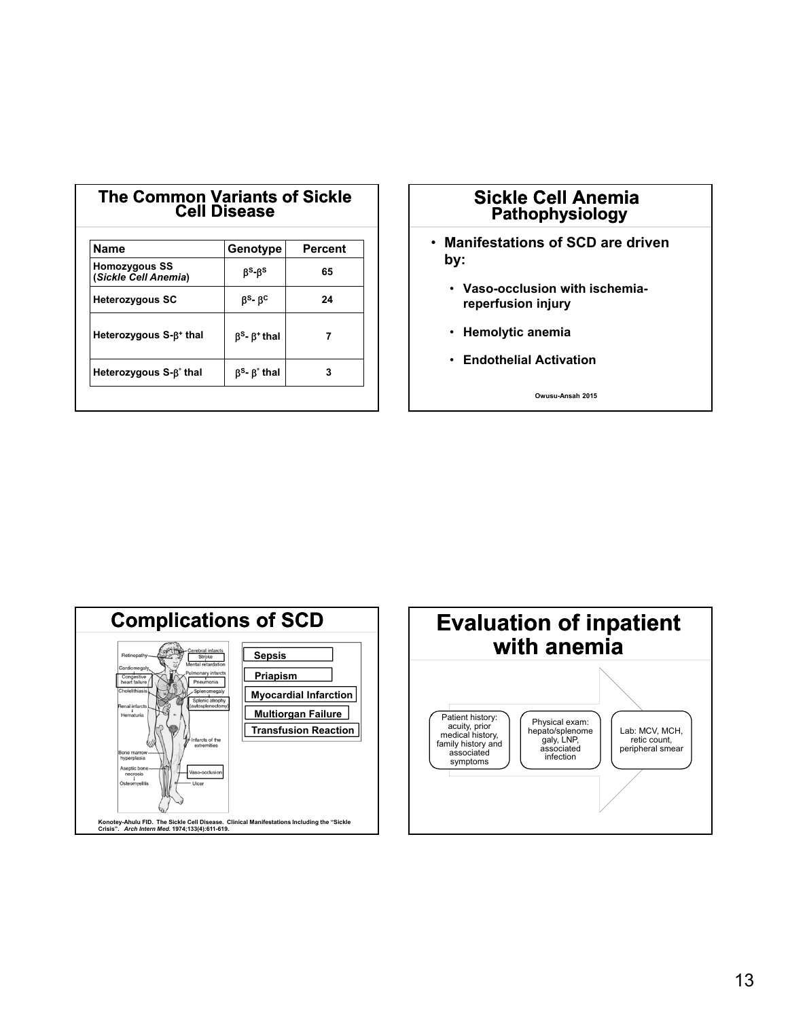| <b>Name</b>                                  | Genotype                                         | <b>Percent</b> |
|----------------------------------------------|--------------------------------------------------|----------------|
| <b>Homozygous SS</b><br>(Sickle Cell Anemia) | B <sup>s</sup> -B <sup>s</sup>                   | 65             |
| <b>Heterozygous SC</b>                       | $\beta$ <sup>s</sup> - $\beta$ <sup>c</sup>      | 24             |
| Heterozygous S-B+ thal                       | $\beta$ <sup>s</sup> - $\beta$ <sup>+</sup> thal |                |
| Heterozygous S-β <sup>°</sup> thal           | $\beta$ <sup>s</sup> - $\beta$ <sup>o</sup> thal | 3              |

**The Common Variants of Sickle** 

#### **Sickle Cell Anemia Pathophysiology**

- **Manifestations of SCD are driven by:**
	- **Vaso-occlusion with ischemiareperfusion injury**
	- **Hemolytic anemia**
	- **Endothelial Activation**

**Owusu-Ansah 2015**